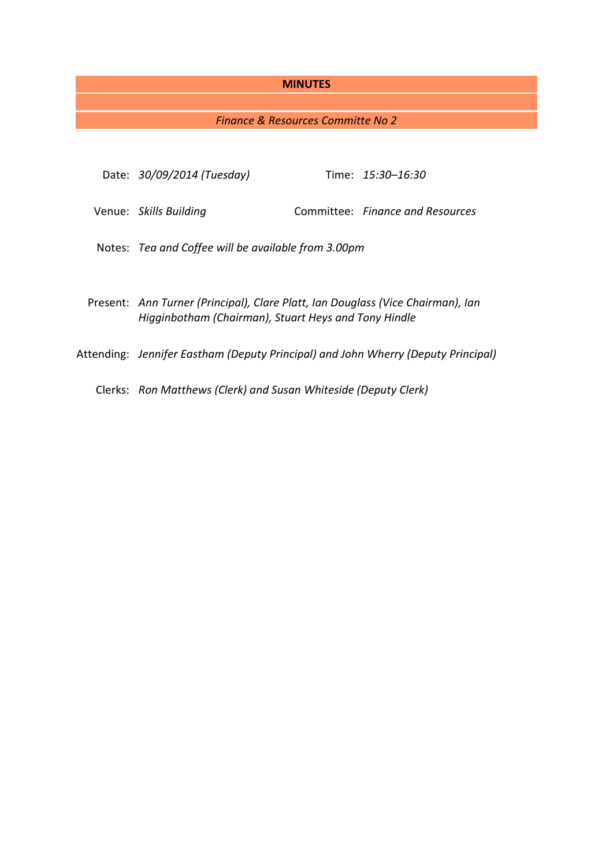#### **MINUTES**

## *Finance & Resources Committe No 2*

| Date: 30/09/2014 (Tuesday)                                                                                                              |  | Time: 15:30–16:30                |
|-----------------------------------------------------------------------------------------------------------------------------------------|--|----------------------------------|
| Venue: Skills Building                                                                                                                  |  | Committee: Finance and Resources |
| Notes: Tea and Coffee will be available from 3.00pm                                                                                     |  |                                  |
| Present: Ann Turner (Principal), Clare Platt, Ian Douglass (Vice Chairman), Ian<br>Higginbotham (Chairman), Stuart Heys and Tony Hindle |  |                                  |
| Attending: Jennifer Eastham (Deputy Principal) and John Wherry (Deputy Principal)                                                       |  |                                  |

Clerks: *Ron Matthews (Clerk) and Susan Whiteside (Deputy Clerk)*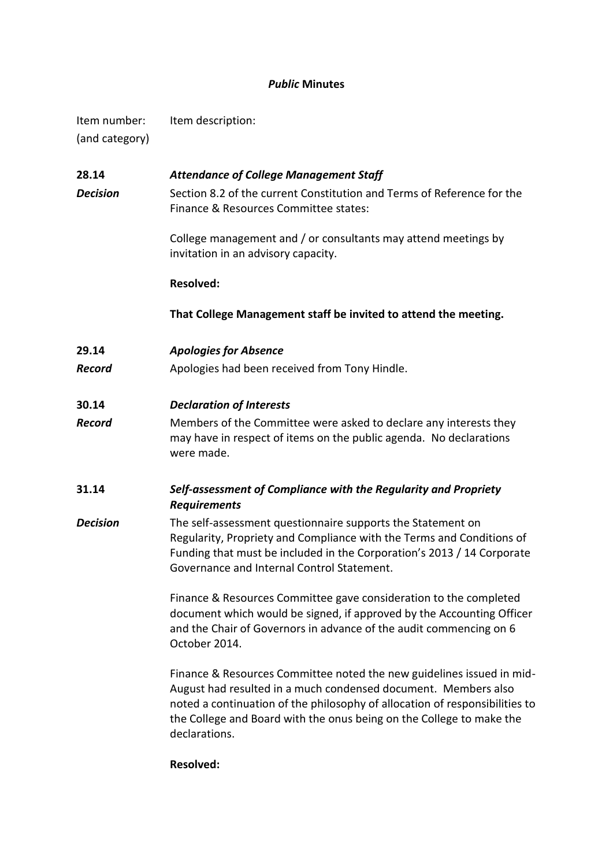# *Public* **Minutes**

| Item number:   | Item description: |
|----------------|-------------------|
| (and category) |                   |

**28.14** *Attendance of College Management Staff* **Decision** Section 8.2 of the current Constitution and Terms of Reference for the Finance & Resources Committee states: College management and / or consultants may attend meetings by invitation in an advisory capacity. **Resolved: That College Management staff be invited to attend the meeting. 29.14** *Apologies for Absence* **Record** Apologies had been received from Tony Hindle. **30.14** *Declaration of Interests Record* Members of the Committee were asked to declare any interests they may have in respect of items on the public agenda. No declarations were made. **31.14** *Self-assessment of Compliance with the Regularity and Propriety Requirements* **Decision** The self-assessment questionnaire supports the Statement on Regularity, Propriety and Compliance with the Terms and Conditions of Funding that must be included in the Corporation's 2013 / 14 Corporate Governance and Internal Control Statement. Finance & Resources Committee gave consideration to the completed document which would be signed, if approved by the Accounting Officer and the Chair of Governors in advance of the audit commencing on 6 October 2014. Finance & Resources Committee noted the new guidelines issued in mid-August had resulted in a much condensed document. Members also noted a continuation of the philosophy of allocation of responsibilities to the College and Board with the onus being on the College to make the declarations.

## **Resolved:**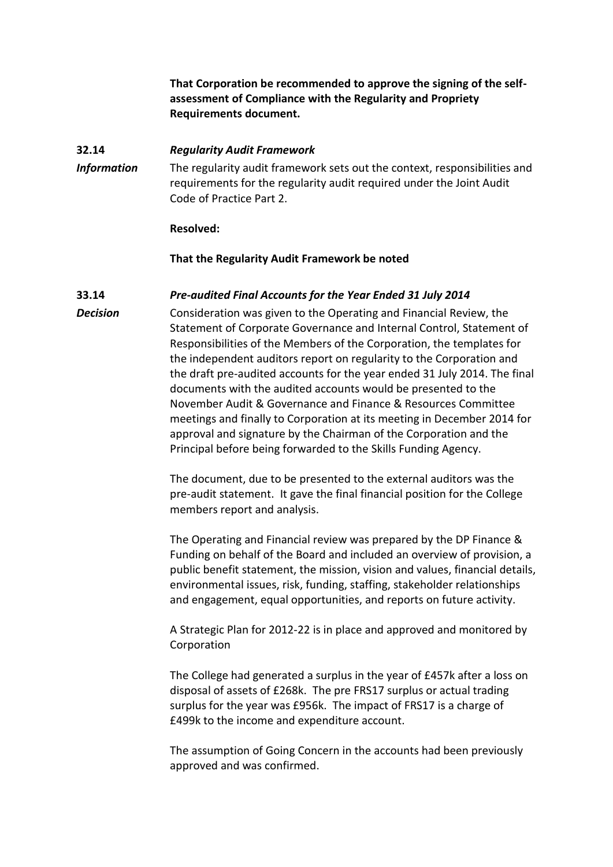**That Corporation be recommended to approve the signing of the selfassessment of Compliance with the Regularity and Propriety Requirements document.**

## **32.14** *Regularity Audit Framework*

*Information* The regularity audit framework sets out the context, responsibilities and requirements for the regularity audit required under the Joint Audit Code of Practice Part 2.

#### **Resolved:**

#### **That the Regularity Audit Framework be noted**

## **33.14** *Pre-audited Final Accounts for the Year Ended 31 July 2014*

*Decision* Consideration was given to the Operating and Financial Review, the Statement of Corporate Governance and Internal Control, Statement of Responsibilities of the Members of the Corporation, the templates for the independent auditors report on regularity to the Corporation and the draft pre-audited accounts for the year ended 31 July 2014. The final documents with the audited accounts would be presented to the November Audit & Governance and Finance & Resources Committee meetings and finally to Corporation at its meeting in December 2014 for approval and signature by the Chairman of the Corporation and the Principal before being forwarded to the Skills Funding Agency.

> The document, due to be presented to the external auditors was the pre-audit statement. It gave the final financial position for the College members report and analysis.

The Operating and Financial review was prepared by the DP Finance & Funding on behalf of the Board and included an overview of provision, a public benefit statement, the mission, vision and values, financial details, environmental issues, risk, funding, staffing, stakeholder relationships and engagement, equal opportunities, and reports on future activity.

A Strategic Plan for 2012-22 is in place and approved and monitored by Corporation

The College had generated a surplus in the year of £457k after a loss on disposal of assets of £268k. The pre FRS17 surplus or actual trading surplus for the year was £956k. The impact of FRS17 is a charge of £499k to the income and expenditure account.

The assumption of Going Concern in the accounts had been previously approved and was confirmed.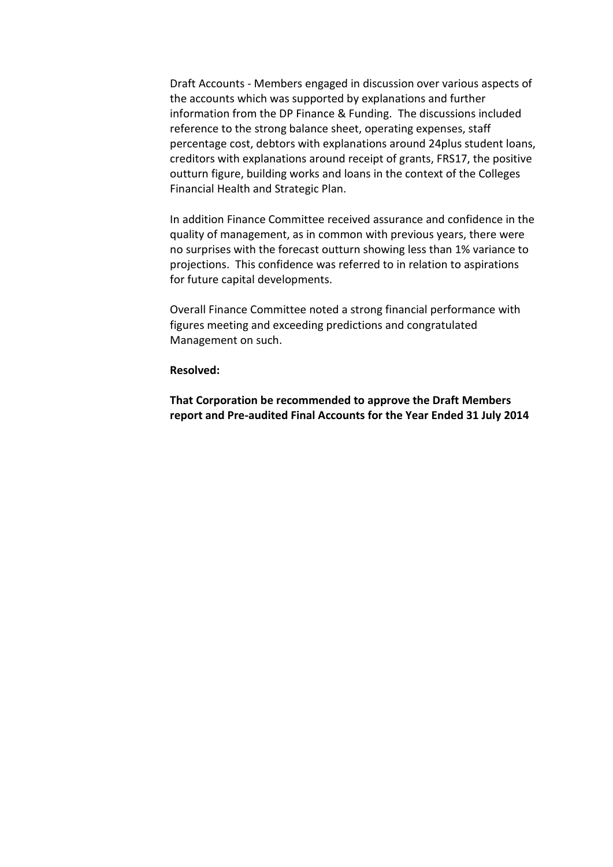Draft Accounts - Members engaged in discussion over various aspects of the accounts which was supported by explanations and further information from the DP Finance & Funding. The discussions included reference to the strong balance sheet, operating expenses, staff percentage cost, debtors with explanations around 24plus student loans, creditors with explanations around receipt of grants, FRS17, the positive outturn figure, building works and loans in the context of the Colleges Financial Health and Strategic Plan.

In addition Finance Committee received assurance and confidence in the quality of management, as in common with previous years, there were no surprises with the forecast outturn showing less than 1% variance to projections. This confidence was referred to in relation to aspirations for future capital developments.

Overall Finance Committee noted a strong financial performance with figures meeting and exceeding predictions and congratulated Management on such.

## **Resolved:**

**That Corporation be recommended to approve the Draft Members report and Pre-audited Final Accounts for the Year Ended 31 July 2014**